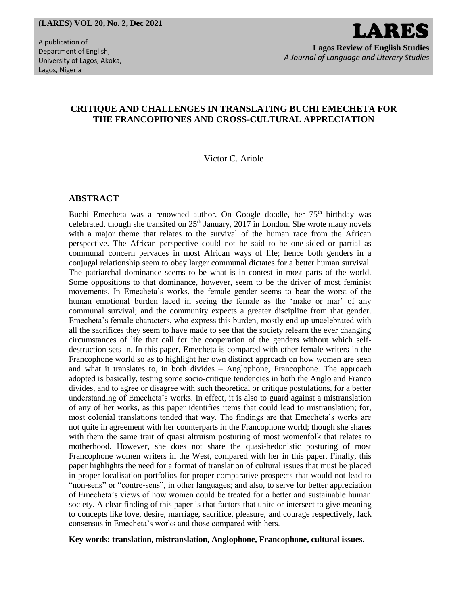# *A Journal of Language and Literary Studies*

# **CRITIQUE AND CHALLENGES IN TRANSLATING BUCHI EMECHETA FOR THE FRANCOPHONES AND CROSS-CULTURAL APPRECIATION**

Victor C. Ariole

## **ABSTRACT**

Buchi Emecheta was a renowned author. On Google doodle, her 75<sup>th</sup> birthday was celebrated, though she transited on  $25<sup>th</sup>$  January, 2017 in London. She wrote many novels with a major theme that relates to the survival of the human race from the African perspective. The African perspective could not be said to be one-sided or partial as communal concern pervades in most African ways of life; hence both genders in a conjugal relationship seem to obey larger communal dictates for a better human survival. The patriarchal dominance seems to be what is in contest in most parts of the world. Some oppositions to that dominance, however, seem to be the driver of most feminist movements. In Emecheta's works, the female gender seems to bear the worst of the human emotional burden laced in seeing the female as the 'make or mar' of any communal survival; and the community expects a greater discipline from that gender. Emecheta's female characters, who express this burden, mostly end up uncelebrated with all the sacrifices they seem to have made to see that the society relearn the ever changing circumstances of life that call for the cooperation of the genders without which selfdestruction sets in. In this paper, Emecheta is compared with other female writers in the Francophone world so as to highlight her own distinct approach on how women are seen and what it translates to, in both divides – Anglophone, Francophone. The approach adopted is basically, testing some socio-critique tendencies in both the Anglo and Franco divides, and to agree or disagree with such theoretical or critique postulations, for a better understanding of Emecheta's works. In effect, it is also to guard against a mistranslation of any of her works, as this paper identifies items that could lead to mistranslation; for, most colonial translations tended that way. The findings are that Emecheta's works are not quite in agreement with her counterparts in the Francophone world; though she shares with them the same trait of quasi altruism posturing of most womenfolk that relates to motherhood. However, she does not share the quasi-hedonistic posturing of most Francophone women writers in the West, compared with her in this paper. Finally, this paper highlights the need for a format of translation of cultural issues that must be placed in proper localisation portfolios for proper comparative prospects that would not lead to "non-sens" or "contre-sens", in other languages; and also, to serve for better appreciation of Emecheta's views of how women could be treated for a better and sustainable human society. A clear finding of this paper is that factors that unite or intersect to give meaning to concepts like love, desire, marriage, sacrifice, pleasure, and courage respectively, lack consensus in Emecheta's works and those compared with hers.

**Key words: translation, mistranslation, Anglophone, Francophone, cultural issues.**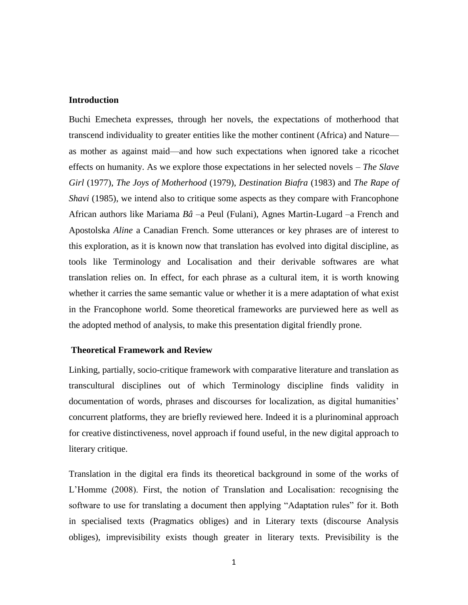#### **Introduction**

Buchi Emecheta expresses, through her novels, the expectations of motherhood that transcend individuality to greater entities like the mother continent (Africa) and Nature as mother as against maid—and how such expectations when ignored take a ricochet effects on humanity. As we explore those expectations in her selected novels – *The Slave Girl* (1977), *The Joys of Motherhood* (1979), *Destination Biafra* (1983) and *The Rape of Shavi* (1985), we intend also to critique some aspects as they compare with Francophone African authors like Mariama *Bâ* –a Peul (Fulani), Agnes Martin-Lugard –a French and Apostolska *Aline* a Canadian French. Some utterances or key phrases are of interest to this exploration, as it is known now that translation has evolved into digital discipline, as tools like Terminology and Localisation and their derivable softwares are what translation relies on. In effect, for each phrase as a cultural item, it is worth knowing whether it carries the same semantic value or whether it is a mere adaptation of what exist in the Francophone world. Some theoretical frameworks are purviewed here as well as the adopted method of analysis, to make this presentation digital friendly prone.

#### **Theoretical Framework and Review**

Linking, partially, socio-critique framework with comparative literature and translation as transcultural disciplines out of which Terminology discipline finds validity in documentation of words, phrases and discourses for localization, as digital humanities' concurrent platforms, they are briefly reviewed here. Indeed it is a plurinominal approach for creative distinctiveness, novel approach if found useful, in the new digital approach to literary critique.

Translation in the digital era finds its theoretical background in some of the works of L'Homme (2008). First, the notion of Translation and Localisation: recognising the software to use for translating a document then applying "Adaptation rules" for it. Both in specialised texts (Pragmatics obliges) and in Literary texts (discourse Analysis obliges), imprevisibility exists though greater in literary texts. Previsibility is the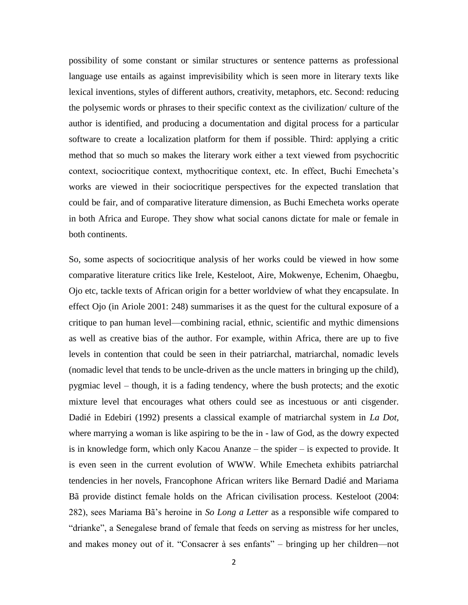possibility of some constant or similar structures or sentence patterns as professional language use entails as against imprevisibility which is seen more in literary texts like lexical inventions, styles of different authors, creativity, metaphors, etc. Second: reducing the polysemic words or phrases to their specific context as the civilization/ culture of the author is identified, and producing a documentation and digital process for a particular software to create a localization platform for them if possible. Third: applying a critic method that so much so makes the literary work either a text viewed from psychocritic context, sociocritique context, mythocritique context, etc. In effect, Buchi Emecheta's works are viewed in their sociocritique perspectives for the expected translation that could be fair, and of comparative literature dimension, as Buchi Emecheta works operate in both Africa and Europe. They show what social canons dictate for male or female in both continents.

So, some aspects of sociocritique analysis of her works could be viewed in how some comparative literature critics like Irele, Kesteloot, Aire, Mokwenye, Echenim, Ohaegbu, Ojo etc, tackle texts of African origin for a better worldview of what they encapsulate. In effect Ojo (in Ariole 2001: 248) summarises it as the quest for the cultural exposure of a critique to pan human level—combining racial, ethnic, scientific and mythic dimensions as well as creative bias of the author. For example, within Africa, there are up to five levels in contention that could be seen in their patriarchal, matriarchal, nomadic levels (nomadic level that tends to be uncle-driven as the uncle matters in bringing up the child), pygmiac level – though, it is a fading tendency, where the bush protects; and the exotic mixture level that encourages what others could see as incestuous or anti cisgender. Dadié in Edebiri (1992) presents a classical example of matriarchal system in *La Dot,* where marrying a woman is like aspiring to be the in - law of God, as the dowry expected is in knowledge form, which only Kacou Ananze – the spider – is expected to provide. It is even seen in the current evolution of WWW. While Emecheta exhibits patriarchal tendencies in her novels, Francophone African writers like Bernard Dadié and Mariama Bã provide distinct female holds on the African civilisation process. Kesteloot (2004: 282), sees Mariama Bã's heroine in *So Long a Letter* as a responsible wife compared to "drianke", a Senegalese brand of female that feeds on serving as mistress for her uncles, and makes money out of it. "Consacrer à ses enfants" – bringing up her children—not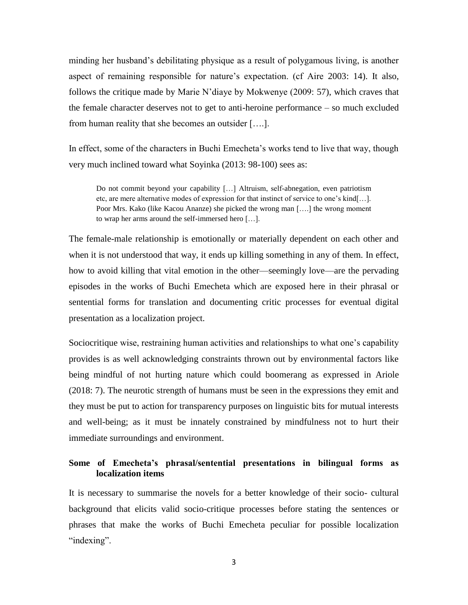minding her husband's debilitating physique as a result of polygamous living, is another aspect of remaining responsible for nature's expectation. (cf Aire 2003: 14). It also, follows the critique made by Marie N'diaye by Mokwenye (2009: 57), which craves that the female character deserves not to get to anti-heroine performance – so much excluded from human reality that she becomes an outsider [….].

In effect, some of the characters in Buchi Emecheta's works tend to live that way, though very much inclined toward what Soyinka (2013: 98-100) sees as:

Do not commit beyond your capability […] Altruism, self-abnegation, even patriotism etc, are mere alternative modes of expression for that instinct of service to one's kind[…]. Poor Mrs. Kako (like Kacou Ananze) she picked the wrong man [….] the wrong moment to wrap her arms around the self-immersed hero […].

The female-male relationship is emotionally or materially dependent on each other and when it is not understood that way, it ends up killing something in any of them. In effect, how to avoid killing that vital emotion in the other—seemingly love—are the pervading episodes in the works of Buchi Emecheta which are exposed here in their phrasal or sentential forms for translation and documenting critic processes for eventual digital presentation as a localization project.

Sociocritique wise, restraining human activities and relationships to what one's capability provides is as well acknowledging constraints thrown out by environmental factors like being mindful of not hurting nature which could boomerang as expressed in Ariole (2018: 7). The neurotic strength of humans must be seen in the expressions they emit and they must be put to action for transparency purposes on linguistic bits for mutual interests and well-being; as it must be innately constrained by mindfulness not to hurt their immediate surroundings and environment.

# **Some of Emecheta's phrasal/sentential presentations in bilingual forms as localization items**

It is necessary to summarise the novels for a better knowledge of their socio- cultural background that elicits valid socio-critique processes before stating the sentences or phrases that make the works of Buchi Emecheta peculiar for possible localization "indexing".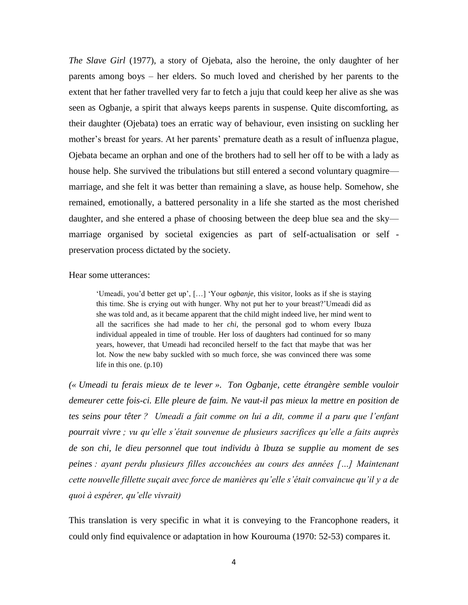*The Slave Girl* (1977), a story of Ojebata, also the heroine, the only daughter of her parents among boys – her elders. So much loved and cherished by her parents to the extent that her father travelled very far to fetch a juju that could keep her alive as she was seen as Ogbanje, a spirit that always keeps parents in suspense. Quite discomforting, as their daughter (Ojebata) toes an erratic way of behaviour, even insisting on suckling her mother's breast for years. At her parents' premature death as a result of influenza plague, Ojebata became an orphan and one of the brothers had to sell her off to be with a lady as house help. She survived the tribulations but still entered a second voluntary quagmire marriage, and she felt it was better than remaining a slave, as house help. Somehow, she remained, emotionally, a battered personality in a life she started as the most cherished daughter, and she entered a phase of choosing between the deep blue sea and the sky marriage organised by societal exigencies as part of self-actualisation or self preservation process dictated by the society.

#### Hear some utterances:

'Umeadi, you'd better get up', […] 'Your *ogbanje*, this visitor, looks as if she is staying this time. She is crying out with hunger. Why not put her to your breast?'Umeadi did as she was told and, as it became apparent that the child might indeed live, her mind went to all the sacrifices she had made to her *chi*, the personal god to whom every Ibuza individual appealed in time of trouble. Her loss of daughters had continued for so many years, however, that Umeadi had reconciled herself to the fact that maybe that was her lot. Now the new baby suckled with so much force, she was convinced there was some life in this one. (p.10)

*(« Umeadi tu ferais mieux de te lever ». Ton Ogbanje, cette étrangère semble vouloir demeurer cette fois-ci. Elle pleure de faim. Ne vaut-il pas mieux la mettre en position de tes seins pour têter ? Umeadi a fait comme on lui a dit, comme il a paru que l'enfant pourrait vivre ; vu qu'elle s'était souvenue de plusieurs sacrifices qu'elle a faits auprès de son chi, le dieu personnel que tout individu à Ibuza se supplie au moment de ses peines : ayant perdu plusieurs filles accouchées au cours des années […] Maintenant cette nouvelle fillette suçait avec force de manières qu'elle s'était convaincue qu'il y a de quoi à espérer, qu'elle vivrait)*

This translation is very specific in what it is conveying to the Francophone readers, it could only find equivalence or adaptation in how Kourouma (1970: 52-53) compares it.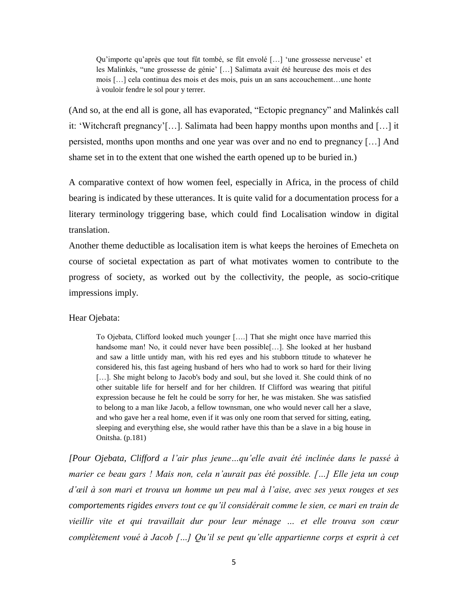Qu'importe qu'après que tout fût tombé, se fût envolé […] 'une grossesse nerveuse' et les Malinkés, "une grossesse de génie' […] Salimata avait été heureuse des mois et des mois […] cela continua des mois et des mois, puis un an sans accouchement…une honte à vouloir fendre le sol pour y terrer.

(And so, at the end all is gone, all has evaporated, "Ectopic pregnancy" and Malinkés call it: 'Witchcraft pregnancy'[…]. Salimata had been happy months upon months and […] it persisted, months upon months and one year was over and no end to pregnancy […] And shame set in to the extent that one wished the earth opened up to be buried in.)

A comparative context of how women feel, especially in Africa, in the process of child bearing is indicated by these utterances. It is quite valid for a documentation process for a literary terminology triggering base, which could find Localisation window in digital translation.

Another theme deductible as localisation item is what keeps the heroines of Emecheta on course of societal expectation as part of what motivates women to contribute to the progress of society, as worked out by the collectivity, the people, as socio-critique impressions imply.

Hear Ojebata:

To Ojebata, Clifford looked much younger [….] That she might once have married this handsome man! No, it could never have been possible[...]. She looked at her husband and saw a little untidy man, with his red eyes and his stubborn ttitude to whatever he considered his, this fast ageing husband of hers who had to work so hard for their living [...]. She might belong to Jacob's body and soul, but she loved it. She could think of no other suitable life for herself and for her children. If Clifford was wearing that pitiful expression because he felt he could be sorry for her, he was mistaken. She was satisfied to belong to a man like Jacob, a fellow townsman, one who would never call her a slave, and who gave her a real home, even if it was only one room that served for sitting, eating, sleeping and everything else, she would rather have this than be a slave in a big house in Onitsha. (p.181)

*[Pour Ojebata, Clifford a l'air plus jeune…qu'elle avait été inclinée dans le passé à marier ce beau gars ! Mais non, cela n'aurait pas été possible. […] Elle jeta un coup d'œil à son mari et trouva un homme un peu mal à l'aise, avec ses yeux rouges et ses comportements rigides envers tout ce qu'il considérait comme le sien, ce mari en train de vieillir vite et qui travaillait dur pour leur ménage … et elle trouva son cœur complètement voué à Jacob […] Qu'il se peut qu'elle appartienne corps et esprit à cet*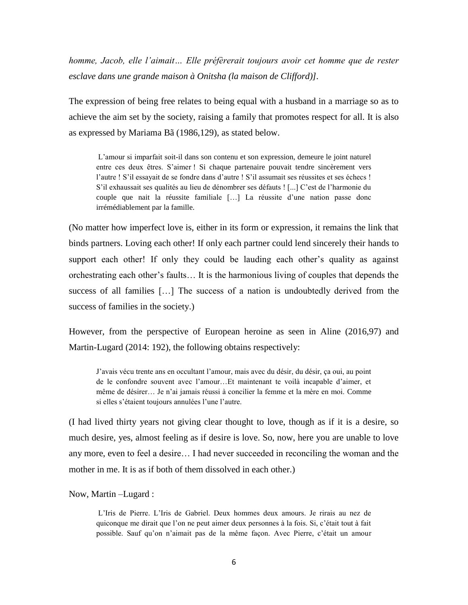*homme, Jacob, elle l'aimait… Elle préfèrerait toujours avoir cet homme que de rester esclave dans une grande maison à Onitsha (la maison de Clifford)].*

The expression of being free relates to being equal with a husband in a marriage so as to achieve the aim set by the society, raising a family that promotes respect for all. It is also as expressed by Mariama Bã (1986,129), as stated below.

L'amour si imparfait soit-il dans son contenu et son expression, demeure le joint naturel entre ces deux êtres. S'aimer ! Si chaque partenaire pouvait tendre sincèrement vers l'autre ! S'il essayait de se fondre dans d'autre ! S'il assumait ses réussites et ses échecs ! S'il exhaussait ses qualités au lieu de dénombrer ses défauts ! [...] C'est de l'harmonie du couple que nait la réussite familiale […] La réussite d'une nation passe donc irrémédiablement par la famille.

(No matter how imperfect love is, either in its form or expression, it remains the link that binds partners. Loving each other! If only each partner could lend sincerely their hands to support each other! If only they could be lauding each other's quality as against orchestrating each other's faults… It is the harmonious living of couples that depends the success of all families […] The success of a nation is undoubtedly derived from the success of families in the society.)

However, from the perspective of European heroine as seen in Aline (2016,97) and Martin-Lugard (2014: 192), the following obtains respectively:

J'avais vécu trente ans en occultant l'amour, mais avec du désir, du désir, ça oui, au point de le confondre souvent avec l'amour…Et maintenant te voilà incapable d'aimer, et même de désirer… Je n'ai jamais réussi à concilier la femme et la mère en moi. Comme si elles s'étaient toujours annulées l'une l'autre.

(I had lived thirty years not giving clear thought to love, though as if it is a desire, so much desire, yes, almost feeling as if desire is love. So, now, here you are unable to love any more, even to feel a desire… I had never succeeded in reconciling the woman and the mother in me. It is as if both of them dissolved in each other.)

Now, Martin –Lugard :

L'Iris de Pierre. L'Iris de Gabriel. Deux hommes deux amours. Je rirais au nez de quiconque me dirait que l'on ne peut aimer deux personnes à la fois. Si, c'était tout à fait possible. Sauf qu'on n'aimait pas de la même façon. Avec Pierre, c'était un amour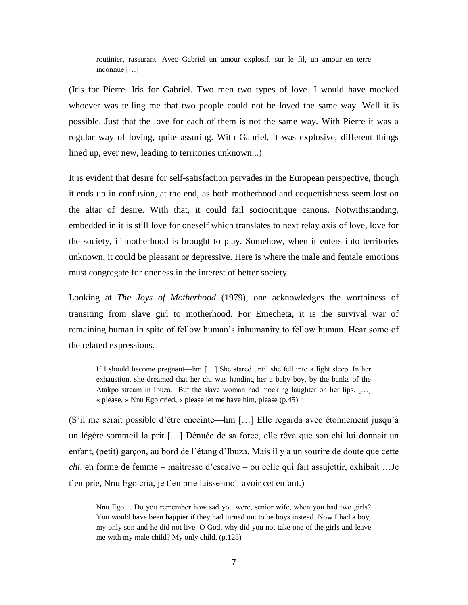routinier, rassurant. Avec Gabriel un amour explosif, sur le fil, un amour en terre inconnue […]

(Iris for Pierre. Iris for Gabriel. Two men two types of love. I would have mocked whoever was telling me that two people could not be loved the same way. Well it is possible. Just that the love for each of them is not the same way. With Pierre it was a regular way of loving, quite assuring. With Gabriel, it was explosive, different things lined up, ever new, leading to territories unknown...)

It is evident that desire for self-satisfaction pervades in the European perspective, though it ends up in confusion, at the end, as both motherhood and coquettishness seem lost on the altar of desire. With that, it could fail sociocritique canons. Notwithstanding, embedded in it is still love for oneself which translates to next relay axis of love, love for the society, if motherhood is brought to play. Somehow, when it enters into territories unknown, it could be pleasant or depressive. Here is where the male and female emotions must congregate for oneness in the interest of better society.

Looking at *The Joys of Motherhood* (1979), one acknowledges the worthiness of transiting from slave girl to motherhood. For Emecheta, it is the survival war of remaining human in spite of fellow human's inhumanity to fellow human. Hear some of the related expressions.

If I should become pregnant—hm […] She stared until she fell into a light sleep. In her exhaustion, she dreamed that her chi was handing her a baby boy, by the banks of the Atakpo stream in Ibuza. But the slave woman had mocking laughter on her lips. […] « please, » Nnu Ego cried, « please let me have him, please (p.45)

(S'il me serait possible d'être enceinte—hm […] Elle regarda avec étonnement jusqu'à un légère sommeil la prit […] Dénuée de sa force, elle rêva que son chi lui donnait un enfant, (petit) garçon, au bord de l'étang d'Ibuza. Mais il y a un sourire de doute que cette *chi*, en forme de femme – maitresse d'escalve – ou celle qui fait assujettir, exhibait …Je t'en prie, Nnu Ego cria, je t'en prie laisse-moi avoir cet enfant.)

Nnu Ego… Do you remember how sad you were, senior wife, when you had two girls? You would have been happier if they had turned out to be boys instead. Now I had a boy, my only son and he did not live. O God, why did you not take one of the girls and leave me with my male child? My only child. (p.128)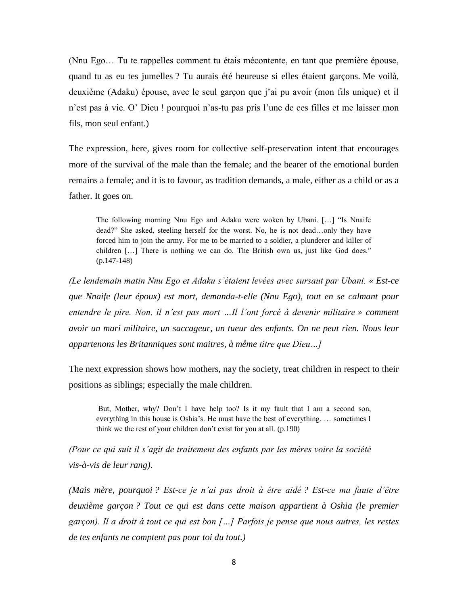(Nnu Ego… Tu te rappelles comment tu étais mécontente, en tant que première épouse, quand tu as eu tes jumelles ? Tu aurais été heureuse si elles étaient garçons. Me voilà, deuxième (Adaku) épouse, avec le seul garçon que j'ai pu avoir (mon fils unique) et il n'est pas à vie. O' Dieu ! pourquoi n'as-tu pas pris l'une de ces filles et me laisser mon fils, mon seul enfant.)

The expression, here, gives room for collective self-preservation intent that encourages more of the survival of the male than the female; and the bearer of the emotional burden remains a female; and it is to favour, as tradition demands, a male, either as a child or as a father. It goes on.

The following morning Nnu Ego and Adaku were woken by Ubani. […] "Is Nnaife dead?" She asked, steeling herself for the worst. No, he is not dead…only they have forced him to join the army. For me to be married to a soldier, a plunderer and killer of children […] There is nothing we can do. The British own us, just like God does." (p.147-148)

*(Le lendemain matin Nnu Ego et Adaku s'étaient levées avec sursaut par Ubani. « Est-ce que Nnaife (leur époux) est mort, demanda-t-elle (Nnu Ego), tout en se calmant pour entendre le pire. Non, il n'est pas mort …Il l'ont forcé à devenir militaire » comment avoir un mari militaire, un saccageur, un tueur des enfants. On ne peut rien. Nous leur appartenons les Britanniques sont maitres, à même titre que Dieu…]*

The next expression shows how mothers, nay the society, treat children in respect to their positions as siblings; especially the male children.

But, Mother, why? Don't I have help too? Is it my fault that I am a second son, everything in this house is Oshia's. He must have the best of everything. … sometimes I think we the rest of your children don't exist for you at all. (p.190)

*(Pour ce qui suit il s'agit de traitement des enfants par les mères voire la société vis-à-vis de leur rang).*

*(Mais mère, pourquoi ? Est-ce je n'ai pas droit à être aidé ? Est-ce ma faute d'être deuxième garçon ? Tout ce qui est dans cette maison appartient à Oshia (le premier garçon). Il a droit à tout ce qui est bon […] Parfois je pense que nous autres, les restes de tes enfants ne comptent pas pour toi du tout.)*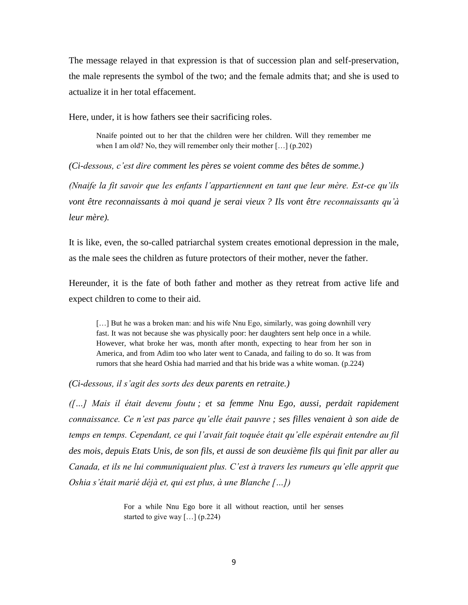The message relayed in that expression is that of succession plan and self-preservation, the male represents the symbol of the two; and the female admits that; and she is used to actualize it in her total effacement.

Here, under, it is how fathers see their sacrificing roles.

Nnaife pointed out to her that the children were her children. Will they remember me when I am old? No, they will remember only their mother […] (p.202)

*(Ci-dessous, c'est dire comment les pères se voient comme des bêtes de somme.)*

*(Nnaife la fit savoir que les enfants l'appartiennent en tant que leur mère. Est-ce qu'ils vont être reconnaissants à moi quand je serai vieux ? Ils vont être reconnaissants qu'à leur mère).*

It is like, even, the so-called patriarchal system creates emotional depression in the male, as the male sees the children as future protectors of their mother, never the father.

Hereunder, it is the fate of both father and mother as they retreat from active life and expect children to come to their aid.

[...] But he was a broken man: and his wife Nnu Ego, similarly, was going downhill very fast. It was not because she was physically poor: her daughters sent help once in a while. However, what broke her was, month after month, expecting to hear from her son in America, and from Adim too who later went to Canada, and failing to do so. It was from rumors that she heard Oshia had married and that his bride was a white woman. (p.224)

*(Ci-dessous, il s'agit des sorts des deux parents en retraite.)*

*([…] Mais il était devenu foutu ; et sa femme Nnu Ego, aussi, perdait rapidement connaissance. Ce n'est pas parce qu'elle était pauvre ; ses filles venaient à son aide de temps en temps. Cependant, ce qui l'avait fait toquée était qu'elle espérait entendre au fil des mois, depuis Etats Unis, de son fils, et aussi de son deuxième fils qui finit par aller au Canada, et ils ne lui communiquaient plus. C'est à travers les rumeurs qu'elle apprit que Oshia s'était marié déjà et, qui est plus, à une Blanche […])*

> For a while Nnu Ego bore it all without reaction, until her senses started to give way […] (p.224)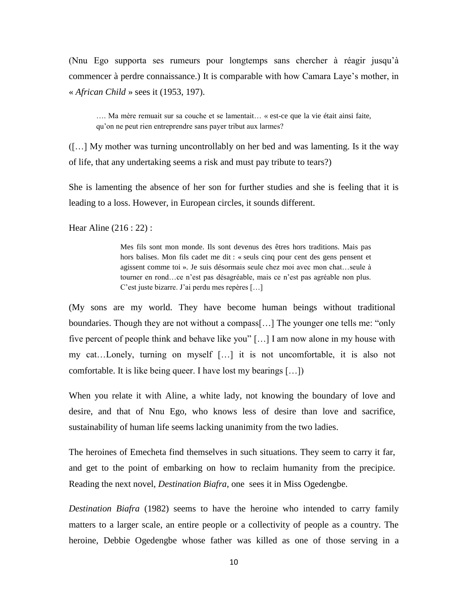(Nnu Ego supporta ses rumeurs pour longtemps sans chercher à réagir jusqu'à commencer à perdre connaissance.) It is comparable with how Camara Laye's mother, in « *African Child* » sees it (1953, 197).

…. Ma mère remuait sur sa couche et se lamentait… « est-ce que la vie était ainsi faite, qu'on ne peut rien entreprendre sans payer tribut aux larmes?

([…] My mother was turning uncontrollably on her bed and was lamenting. Is it the way of life, that any undertaking seems a risk and must pay tribute to tears?)

She is lamenting the absence of her son for further studies and she is feeling that it is leading to a loss. However, in European circles, it sounds different.

Hear Aline (216 : 22) :

Mes fils sont mon monde. Ils sont devenus des êtres hors traditions. Mais pas hors balises. Mon fils cadet me dit : « seuls cinq pour cent des gens pensent et agissent comme toi ». Je suis désormais seule chez moi avec mon chat…seule à tourner en rond…ce n'est pas désagréable, mais ce n'est pas agréable non plus. C'est juste bizarre. J'ai perdu mes repères […]

(My sons are my world. They have become human beings without traditional boundaries. Though they are not without a compass[…] The younger one tells me: "only five percent of people think and behave like you" […] I am now alone in my house with my cat…Lonely, turning on myself […] it is not uncomfortable, it is also not comfortable. It is like being queer. I have lost my bearings […])

When you relate it with Aline, a white lady, not knowing the boundary of love and desire, and that of Nnu Ego, who knows less of desire than love and sacrifice, sustainability of human life seems lacking unanimity from the two ladies.

The heroines of Emecheta find themselves in such situations. They seem to carry it far, and get to the point of embarking on how to reclaim humanity from the precipice. Reading the next novel, *Destination Biafra,* one sees it in Miss Ogedengbe.

*Destination Biafra* (1982) seems to have the heroine who intended to carry family matters to a larger scale, an entire people or a collectivity of people as a country. The heroine, Debbie Ogedengbe whose father was killed as one of those serving in a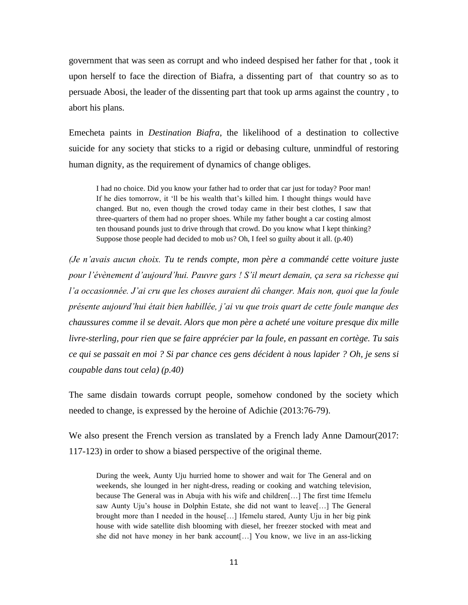government that was seen as corrupt and who indeed despised her father for that , took it upon herself to face the direction of Biafra, a dissenting part of that country so as to persuade Abosi, the leader of the dissenting part that took up arms against the country , to abort his plans.

Emecheta paints in *Destination Biafra*, the likelihood of a destination to collective suicide for any society that sticks to a rigid or debasing culture, unmindful of restoring human dignity, as the requirement of dynamics of change obliges.

I had no choice. Did you know your father had to order that car just for today? Poor man! If he dies tomorrow, it 'll be his wealth that's killed him. I thought things would have changed. But no, even though the crowd today came in their best clothes, I saw that three-quarters of them had no proper shoes. While my father bought a car costing almost ten thousand pounds just to drive through that crowd. Do you know what I kept thinking? Suppose those people had decided to mob us? Oh, I feel so guilty about it all. (p.40)

*(Je n'avais aucun choix. Tu te rends compte, mon père a commandé cette voiture juste pour l'évènement d'aujourd'hui. Pauvre gars ! S'il meurt demain, ça sera sa richesse qui l'a occasionnée. J'ai cru que les choses auraient dû changer. Mais non, quoi que la foule présente aujourd'hui était bien habillée, j'ai vu que trois quart de cette foule manque des chaussures comme il se devait. Alors que mon père a acheté une voiture presque dix mille livre-sterling, pour rien que se faire apprécier par la foule, en passant en cortège. Tu sais ce qui se passait en moi ? Si par chance ces gens décident à nous lapider ? Oh, je sens si coupable dans tout cela) (p.40)*

The same disdain towards corrupt people, somehow condoned by the society which needed to change, is expressed by the heroine of Adichie (2013:76-79).

We also present the French version as translated by a French lady Anne Damour(2017: 117-123) in order to show a biased perspective of the original theme.

During the week, Aunty Uju hurried home to shower and wait for The General and on weekends, she lounged in her night-dress, reading or cooking and watching television, because The General was in Abuja with his wife and children[…] The first time Ifemelu saw Aunty Uju's house in Dolphin Estate, she did not want to leave[…] The General brought more than I needed in the house[…] Ifemelu stared, Aunty Uju in her big pink house with wide satellite dish blooming with diesel, her freezer stocked with meat and she did not have money in her bank account[…] You know, we live in an ass-licking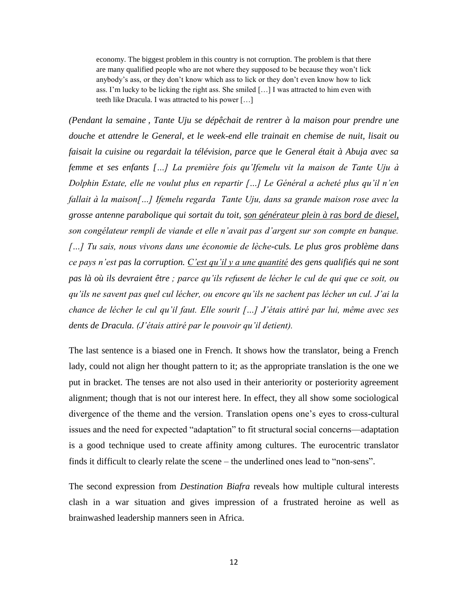economy. The biggest problem in this country is not corruption. The problem is that there are many qualified people who are not where they supposed to be because they won't lick anybody's ass, or they don't know which ass to lick or they don't even know how to lick ass. I'm lucky to be licking the right ass. She smiled […] I was attracted to him even with teeth like Dracula. I was attracted to his power […]

*(Pendant la semaine , Tante Uju se dépêchait de rentrer à la maison pour prendre une douche et attendre le General, et le week-end elle trainait en chemise de nuit, lisait ou faisait la cuisine ou regardait la télévision, parce que le General était à Abuja avec sa femme et ses enfants […] La première fois qu'Ifemelu vit la maison de Tante Uju à Dolphin Estate, elle ne voulut plus en repartir […] Le Général a acheté plus qu'il n'en fallait à la maison[…] Ifemelu regarda Tante Uju, dans sa grande maison rose avec la grosse antenne parabolique qui sortait du toit, son générateur plein à ras bord de diesel, son congélateur rempli de viande et elle n'avait pas d'argent sur son compte en banque. […] Tu sais, nous vivons dans une économie de lèche-culs. Le plus gros problème dans ce pays n'est pas la corruption. C'est qu'il y a une quantité des gens qualifiés qui ne sont pas là où ils devraient être ; parce qu'ils refusent de lécher le cul de qui que ce soit, ou qu'ils ne savent pas quel cul lécher, ou encore qu'ils ne sachent pas lécher un cul. J'ai la chance de lécher le cul qu'il faut. Elle sourit […] J'étais attiré par lui, même avec ses dents de Dracula. (J'étais attiré par le pouvoir qu'il detient).*

The last sentence is a biased one in French. It shows how the translator, being a French lady, could not align her thought pattern to it; as the appropriate translation is the one we put in bracket. The tenses are not also used in their anteriority or posteriority agreement alignment; though that is not our interest here. In effect, they all show some sociological divergence of the theme and the version. Translation opens one's eyes to cross-cultural issues and the need for expected "adaptation" to fit structural social concerns—adaptation is a good technique used to create affinity among cultures. The eurocentric translator finds it difficult to clearly relate the scene – the underlined ones lead to "non-sens".

The second expression from *Destination Biafra* reveals how multiple cultural interests clash in a war situation and gives impression of a frustrated heroine as well as brainwashed leadership manners seen in Africa.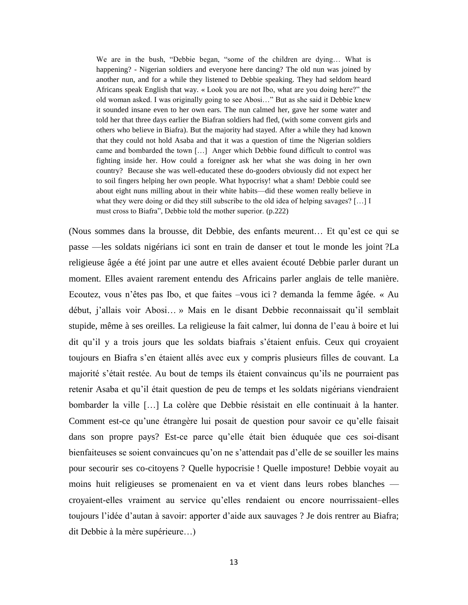We are in the bush, "Debbie began, "some of the children are dying… What is happening? - Nigerian soldiers and everyone here dancing? The old nun was joined by another nun, and for a while they listened to Debbie speaking. They had seldom heard Africans speak English that way. « Look you are not Ibo, what are you doing here?" the old woman asked. I was originally going to see Abosi…" But as she said it Debbie knew it sounded insane even to her own ears. The nun calmed her, gave her some water and told her that three days earlier the Biafran soldiers had fled, (with some convent girls and others who believe in Biafra). But the majority had stayed. After a while they had known that they could not hold Asaba and that it was a question of time the Nigerian soldiers came and bombarded the town […] Anger which Debbie found difficult to control was fighting inside her. How could a foreigner ask her what she was doing in her own country? Because she was well-educated these do-gooders obviously did not expect her to soil fingers helping her own people. What hypocrisy! what a sham! Debbie could see about eight nuns milling about in their white habits—did these women really believe in what they were doing or did they still subscribe to the old idea of helping savages? […] I must cross to Biafra", Debbie told the mother superior. (p.222)

(Nous sommes dans la brousse, dit Debbie, des enfants meurent… Et qu'est ce qui se passe —les soldats nigérians ici sont en train de danser et tout le monde les joint ?La religieuse âgée a été joint par une autre et elles avaient écouté Debbie parler durant un moment. Elles avaient rarement entendu des Africains parler anglais de telle manière. Ecoutez, vous n'êtes pas Ibo, et que faites –vous ici ? demanda la femme âgée. « Au début, j'allais voir Abosi… » Mais en le disant Debbie reconnaissait qu'il semblait stupide, même à ses oreilles. La religieuse la fait calmer, lui donna de l'eau à boire et lui dit qu'il y a trois jours que les soldats biafrais s'étaient enfuis. Ceux qui croyaient toujours en Biafra s'en étaient allés avec eux y compris plusieurs filles de couvant. La majorité s'était restée. Au bout de temps ils étaient convaincus qu'ils ne pourraient pas retenir Asaba et qu'il était question de peu de temps et les soldats nigérians viendraient bombarder la ville […] La colère que Debbie résistait en elle continuait à la hanter. Comment est-ce qu'une étrangère lui posait de question pour savoir ce qu'elle faisait dans son propre pays? Est-ce parce qu'elle était bien éduquée que ces soi-disant bienfaiteuses se soient convaincues qu'on ne s'attendait pas d'elle de se souiller les mains pour secourir ses co-citoyens ? Quelle hypocrisie ! Quelle imposture! Debbie voyait au moins huit religieuses se promenaient en va et vient dans leurs robes blanches croyaient-elles vraiment au service qu'elles rendaient ou encore nourrissaient–elles toujours l'idée d'autan à savoir: apporter d'aide aux sauvages ? Je dois rentrer au Biafra; dit Debbie à la mère supérieure…)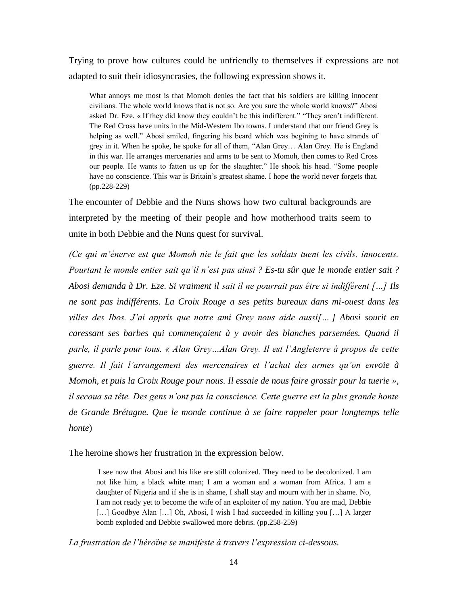Trying to prove how cultures could be unfriendly to themselves if expressions are not adapted to suit their idiosyncrasies, the following expression shows it.

What annoys me most is that Momoh denies the fact that his soldiers are killing innocent civilians. The whole world knows that is not so. Are you sure the whole world knows?" Abosi asked Dr. Eze. « If they did know they couldn't be this indifferent." "They aren't indifferent. The Red Cross have units in the Mid-Western Ibo towns. I understand that our friend Grey is helping as well." Abosi smiled, fingering his beard which was begining to have strands of grey in it. When he spoke, he spoke for all of them, "Alan Grey… Alan Grey. He is England in this war. He arranges mercenaries and arms to be sent to Momoh, then comes to Red Cross our people. He wants to fatten us up for the slaughter." He shook his head. "Some people have no conscience. This war is Britain's greatest shame. I hope the world never forgets that. (pp.228-229)

The encounter of Debbie and the Nuns shows how two cultural backgrounds are interpreted by the meeting of their people and how motherhood traits seem to unite in both Debbie and the Nuns quest for survival.

*(Ce qui m'énerve est que Momoh nie le fait que les soldats tuent les civils, innocents. Pourtant le monde entier sait qu'il n'est pas ainsi ? Es-tu sûr que le monde entier sait ? Abosi demanda à Dr. Eze. Si vraiment il sait il ne pourrait pas être si indifférent […] Ils ne sont pas indifférents. La Croix Rouge a ses petits bureaux dans mi-ouest dans les villes des Ibos. J'ai appris que notre ami Grey nous aide aussi[… ] Abosi sourit en caressant ses barbes qui commençaient à y avoir des blanches parsemées. Quand il parle, il parle pour tous. « Alan Grey…Alan Grey. Il est l'Angleterre à propos de cette guerre. Il fait l'arrangement des mercenaires et l'achat des armes qu'on envoie à Momoh, et puis la Croix Rouge pour nous. Il essaie de nous faire grossir pour la tuerie », il secoua sa tête. Des gens n'ont pas la conscience. Cette guerre est la plus grande honte de Grande Brétagne. Que le monde continue à se faire rappeler pour longtemps telle honte*)

The heroine shows her frustration in the expression below.

I see now that Abosi and his like are still colonized. They need to be decolonized. I am not like him, a black white man; I am a woman and a woman from Africa. I am a daughter of Nigeria and if she is in shame, I shall stay and mourn with her in shame. No, I am not ready yet to become the wife of an exploiter of my nation. You are mad, Debbie [...] Goodbye Alan [...] Oh, Abosi, I wish I had succeeded in killing you [...] A larger bomb exploded and Debbie swallowed more debris. (pp.258-259)

*La frustration de l'héroïne se manifeste à travers l'expression ci-dessous.*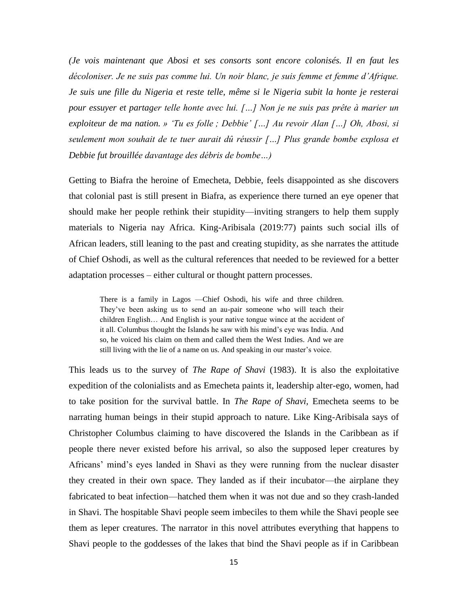*(Je vois maintenant que Abosi et ses consorts sont encore colonisés. Il en faut les décoloniser. Je ne suis pas comme lui. Un noir blanc, je suis femme et femme d'Afrique. Je suis une fille du Nigeria et reste telle, même si le Nigeria subit la honte je resterai pour essuyer et partager telle honte avec lui. […] Non je ne suis pas prête à marier un exploiteur de ma nation. » 'Tu es folle ; Debbie' […] Au revoir Alan […] Oh, Abosi, si seulement mon souhait de te tuer aurait dû réussir […] Plus grande bombe explosa et Debbie fut brouillée davantage des débris de bombe…)*

Getting to Biafra the heroine of Emecheta, Debbie, feels disappointed as she discovers that colonial past is still present in Biafra, as experience there turned an eye opener that should make her people rethink their stupidity—inviting strangers to help them supply materials to Nigeria nay Africa. King-Aribisala (2019:77) paints such social ills of African leaders, still leaning to the past and creating stupidity, as she narrates the attitude of Chief Oshodi, as well as the cultural references that needed to be reviewed for a better adaptation processes – either cultural or thought pattern processes.

There is a family in Lagos —Chief Oshodi, his wife and three children. They've been asking us to send an au-pair someone who will teach their children English… And English is your native tongue wince at the accident of it all. Columbus thought the Islands he saw with his mind's eye was India. And so, he voiced his claim on them and called them the West Indies. And we are still living with the lie of a name on us. And speaking in our master's voice.

This leads us to the survey of *The Rape of Shavi* (1983). It is also the exploitative expedition of the colonialists and as Emecheta paints it, leadership alter-ego, women, had to take position for the survival battle. In *The Rape of Shavi,* Emecheta seems to be narrating human beings in their stupid approach to nature. Like King-Aribisala says of Christopher Columbus claiming to have discovered the Islands in the Caribbean as if people there never existed before his arrival, so also the supposed leper creatures by Africans' mind's eyes landed in Shavi as they were running from the nuclear disaster they created in their own space. They landed as if their incubator—the airplane they fabricated to beat infection—hatched them when it was not due and so they crash-landed in Shavi. The hospitable Shavi people seem imbeciles to them while the Shavi people see them as leper creatures. The narrator in this novel attributes everything that happens to Shavi people to the goddesses of the lakes that bind the Shavi people as if in Caribbean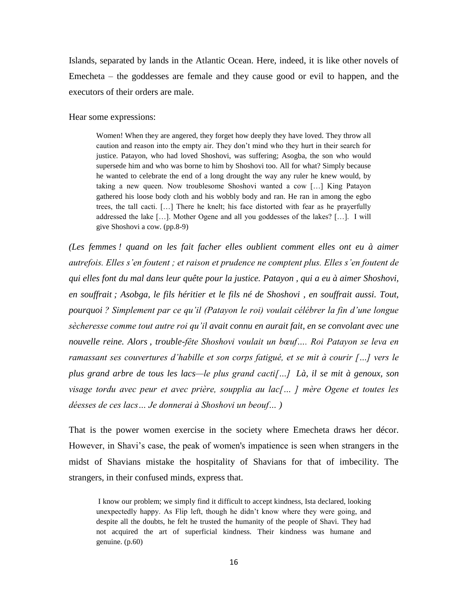Islands, separated by lands in the Atlantic Ocean. Here, indeed, it is like other novels of Emecheta – the goddesses are female and they cause good or evil to happen, and the executors of their orders are male.

Hear some expressions:

Women! When they are angered, they forget how deeply they have loved. They throw all caution and reason into the empty air. They don't mind who they hurt in their search for justice. Patayon, who had loved Shoshovi, was suffering; Asogba, the son who would supersede him and who was borne to him by Shoshovi too. All for what? Simply because he wanted to celebrate the end of a long drought the way any ruler he knew would, by taking a new queen. Now troublesome Shoshovi wanted a cow […] King Patayon gathered his loose body cloth and his wobbly body and ran. He ran in among the egbo trees, the tall cacti. […] There he knelt; his face distorted with fear as he prayerfully addressed the lake […]. Mother Ogene and all you goddesses of the lakes? […]. I will give Shoshovi a cow. (pp.8-9)

*(Les femmes ! quand on les fait facher elles oublient comment elles ont eu à aimer autrefois. Elles s'en foutent ; et raison et prudence ne comptent plus. Elles s'en foutent de qui elles font du mal dans leur quête pour la justice. Patayon , qui a eu à aimer Shoshovi, en souffrait ; Asobga, le fils héritier et le fils né de Shoshovi , en souffrait aussi. Tout, pourquoi ? Simplement par ce qu'il (Patayon le roi) voulait célébrer la fin d'une longue sècheresse comme tout autre roi qu'il avait connu en aurait fait, en se convolant avec une nouvelle reine. Alors , trouble-fête Shoshovi voulait un bœuf…. Roi Patayon se leva en ramassant ses couvertures d'habille et son corps fatigué, et se mit à courir […] vers le plus grand arbre de tous les lacs—le plus grand cacti[…] Là, il se mit à genoux, son visage tordu avec peur et avec prière, soupplia au lac[… ] mère Ogene et toutes les déesses de ces lacs… Je donnerai à Shoshovi un beouf… )*

That is the power women exercise in the society where Emecheta draws her décor. However, in Shavi's case, the peak of women's impatience is seen when strangers in the midst of Shavians mistake the hospitality of Shavians for that of imbecility. The strangers, in their confused minds, express that.

I know our problem; we simply find it difficult to accept kindness, Ista declared, looking unexpectedly happy. As Flip left, though he didn't know where they were going, and despite all the doubts, he felt he trusted the humanity of the people of Shavi. They had not acquired the art of superficial kindness. Their kindness was humane and genuine. (p.60)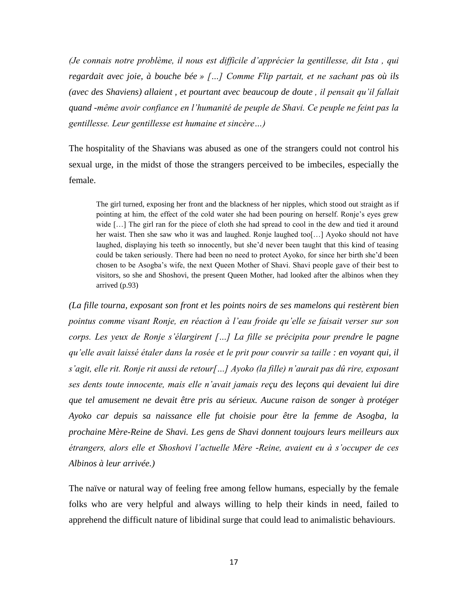*(Je connais notre problème, il nous est difficile d'apprécier la gentillesse, dit Ista , qui regardait avec joie, à bouche bée » […] Comme Flip partait, et ne sachant pas où ils (avec des Shaviens) allaient , et pourtant avec beaucoup de doute , il pensait qu'il fallait quand -même avoir confiance en l'humanité de peuple de Shavi. Ce peuple ne feint pas la gentillesse. Leur gentillesse est humaine et sincère…)*

The hospitality of the Shavians was abused as one of the strangers could not control his sexual urge, in the midst of those the strangers perceived to be imbeciles, especially the female.

The girl turned, exposing her front and the blackness of her nipples, which stood out straight as if pointing at him, the effect of the cold water she had been pouring on herself. Ronje's eyes grew wide [...] The girl ran for the piece of cloth she had spread to cool in the dew and tied it around her waist. Then she saw who it was and laughed. Ronje laughed too[…] Ayoko should not have laughed, displaying his teeth so innocently, but she'd never been taught that this kind of teasing could be taken seriously. There had been no need to protect Ayoko, for since her birth she'd been chosen to be Asogba's wife, the next Queen Mother of Shavi. Shavi people gave of their best to visitors, so she and Shoshovi, the present Queen Mother, had looked after the albinos when they arrived (p.93)

*(La fille tourna, exposant son front et les points noirs de ses mamelons qui restèrent bien pointus comme visant Ronje, en réaction à l'eau froide qu'elle se faisait verser sur son corps. Les yeux de Ronje s'élargirent […] La fille se précipita pour prendre le pagne qu'elle avait laissé étaler dans la rosée et le prit pour couvrir sa taille : en voyant qui, il s'agit, elle rit. Ronje rit aussi de retour[…] Ayoko (la fille) n'aurait pas dû rire, exposant ses dents toute innocente, mais elle n'avait jamais reçu des leçons qui devaient lui dire que tel amusement ne devait être pris au sérieux. Aucune raison de songer à protéger Ayoko car depuis sa naissance elle fut choisie pour être la femme de Asogba, la prochaine Mère-Reine de Shavi. Les gens de Shavi donnent toujours leurs meilleurs aux étrangers, alors elle et Shoshovi l'actuelle Mère -Reine, avaient eu à s'occuper de ces Albinos à leur arrivée.)* 

The naïve or natural way of feeling free among fellow humans, especially by the female folks who are very helpful and always willing to help their kinds in need, failed to apprehend the difficult nature of libidinal surge that could lead to animalistic behaviours.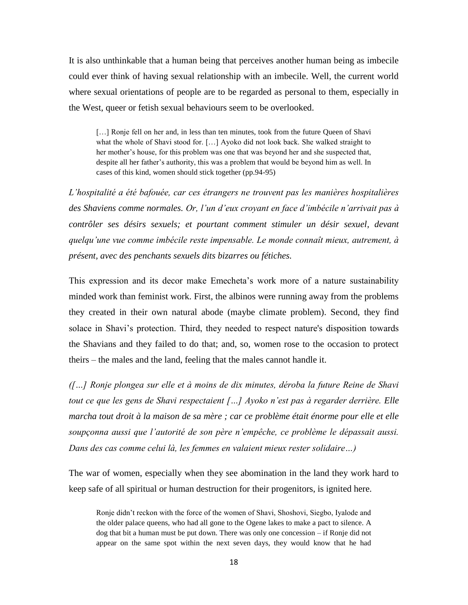It is also unthinkable that a human being that perceives another human being as imbecile could ever think of having sexual relationship with an imbecile. Well, the current world where sexual orientations of people are to be regarded as personal to them, especially in the West, queer or fetish sexual behaviours seem to be overlooked.

[...] Ronje fell on her and, in less than ten minutes, took from the future Queen of Shavi what the whole of Shavi stood for. […] Ayoko did not look back. She walked straight to her mother's house, for this problem was one that was beyond her and she suspected that, despite all her father's authority, this was a problem that would be beyond him as well. In cases of this kind, women should stick together (pp.94-95)

*L'hospitalité a été bafouée, car ces étrangers ne trouvent pas les manières hospitalières des Shaviens comme normales. Or, l'un d'eux croyant en face d'imbécile n'arrivait pas à contrôler ses désirs sexuels; et pourtant comment stimuler un désir sexuel, devant quelqu'une vue comme imbécile reste impensable. Le monde connaît mieux, autrement, à présent, avec des penchants sexuels dits bizarres ou fétiches.* 

This expression and its decor make Emecheta's work more of a nature sustainability minded work than feminist work. First, the albinos were running away from the problems they created in their own natural abode (maybe climate problem). Second, they find solace in Shavi's protection. Third, they needed to respect nature's disposition towards the Shavians and they failed to do that; and, so, women rose to the occasion to protect theirs – the males and the land, feeling that the males cannot handle it.

*([…] Ronje plongea sur elle et à moins de dix minutes, déroba la future Reine de Shavi tout ce que les gens de Shavi respectaient […] Ayoko n'est pas à regarder derrière. Elle marcha tout droit à la maison de sa mère ; car ce problème était énorme pour elle et elle soupçonna aussi que l'autorité de son père n'empêche, ce problème le dépassait aussi. Dans des cas comme celui là, les femmes en valaient mieux rester solidaire…)*

The war of women, especially when they see abomination in the land they work hard to keep safe of all spiritual or human destruction for their progenitors, is ignited here.

Ronje didn't reckon with the force of the women of Shavi, Shoshovi, Siegbo, Iyalode and the older palace queens, who had all gone to the Ogene lakes to make a pact to silence. A dog that bit a human must be put down. There was only one concession – if Ronje did not appear on the same spot within the next seven days, they would know that he had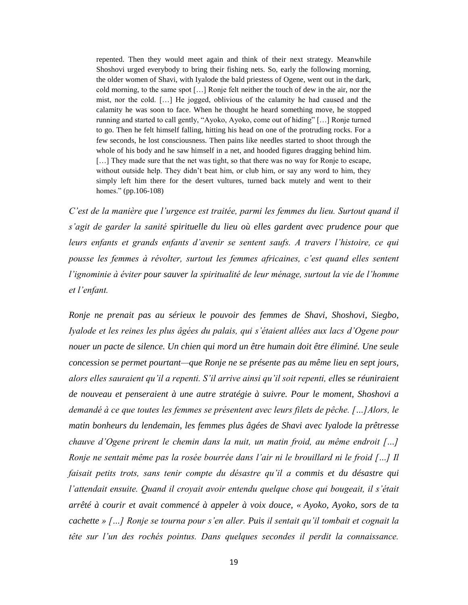repented. Then they would meet again and think of their next strategy. Meanwhile Shoshovi urged everybody to bring their fishing nets. So, early the following morning, the older women of Shavi, with Iyalode the bald priestess of Ogene, went out in the dark, cold morning, to the same spot […] Ronje felt neither the touch of dew in the air, nor the mist, nor the cold. […] He jogged, oblivious of the calamity he had caused and the calamity he was soon to face. When he thought he heard something move, he stopped running and started to call gently, "Ayoko, Ayoko, come out of hiding" […] Ronje turned to go. Then he felt himself falling, hitting his head on one of the protruding rocks. For a few seconds, he lost consciousness. Then pains like needles started to shoot through the whole of his body and he saw himself in a net, and hooded figures dragging behind him. [...] They made sure that the net was tight, so that there was no way for Ronje to escape, without outside help. They didn't beat him, or club him, or say any word to him, they simply left him there for the desert vultures, turned back mutely and went to their homes." (pp.106-108)

*C'est de la manière que l'urgence est traitée, parmi les femmes du lieu. Surtout quand il s'agit de garder la sanité spirituelle du lieu où elles gardent avec prudence pour que leurs enfants et grands enfants d'avenir se sentent saufs. A travers l'histoire, ce qui pousse les femmes à révolter, surtout les femmes africaines, c'est quand elles sentent l'ignominie à éviter pour sauver la spiritualité de leur ménage, surtout la vie de l'homme et l'enfant.*

*Ronje ne prenait pas au sérieux le pouvoir des femmes de Shavi, Shoshovi, Siegbo, Iyalode et les reines les plus âgées du palais, qui s'étaient allées aux lacs d'Ogene pour nouer un pacte de silence. Un chien qui mord un être humain doit être éliminé. Une seule concession se permet pourtant—que Ronje ne se présente pas au même lieu en sept jours, alors elles sauraient qu'il a repenti. S'il arrive ainsi qu'il soit repenti, elles se réuniraient de nouveau et penseraient à une autre stratégie à suivre. Pour le moment, Shoshovi a demandé à ce que toutes les femmes se présentent avec leurs filets de pêche. […]Alors, le matin bonheurs du lendemain, les femmes plus âgées de Shavi avec Iyalode la prêtresse chauve d'Ogene prirent le chemin dans la nuit, un matin froid, au même endroit […] Ronje ne sentait même pas la rosée bourrée dans l'air ni le brouillard ni le froid […] Il faisait petits trots, sans tenir compte du désastre qu'il a commis et du désastre qui l'attendait ensuite. Quand il croyait avoir entendu quelque chose qui bougeait, il s'était arrêté à courir et avait commencé à appeler à voix douce, « Ayoko, Ayoko, sors de ta cachette » […] Ronje se tourna pour s'en aller. Puis il sentait qu'il tombait et cognait la tête sur l'un des rochés pointus. Dans quelques secondes il perdit la connaissance.*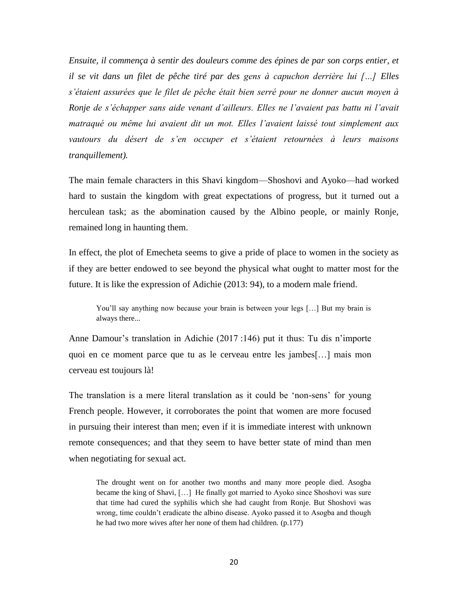*Ensuite, il commença à sentir des douleurs comme des épines de par son corps entier, et il se vit dans un filet de pêche tiré par des gens à capuchon derrière lui […] Elles s'étaient assurées que le filet de pêche était bien serré pour ne donner aucun moyen à Ronje de s'échapper sans aide venant d'ailleurs. Elles ne l'avaient pas battu ni l'avait matraqué ou même lui avaient dit un mot. Elles l'avaient laissé tout simplement aux vautours du désert de s'en occuper et s'étaient retournées à leurs maisons tranquillement).* 

The main female characters in this Shavi kingdom—Shoshovi and Ayoko—had worked hard to sustain the kingdom with great expectations of progress, but it turned out a herculean task; as the abomination caused by the Albino people, or mainly Ronje, remained long in haunting them.

In effect, the plot of Emecheta seems to give a pride of place to women in the society as if they are better endowed to see beyond the physical what ought to matter most for the future. It is like the expression of Adichie (2013: 94), to a modern male friend.

You'll say anything now because your brain is between your legs [...] But my brain is always there...

Anne Damour's translation in Adichie (2017 :146) put it thus: Tu dis n'importe quoi en ce moment parce que tu as le cerveau entre les jambes[…] mais mon cerveau est toujours là!

The translation is a mere literal translation as it could be 'non-sens' for young French people. However, it corroborates the point that women are more focused in pursuing their interest than men; even if it is immediate interest with unknown remote consequences; and that they seem to have better state of mind than men when negotiating for sexual act.

The drought went on for another two months and many more people died. Asogba became the king of Shavi, […] He finally got married to Ayoko since Shoshovi was sure that time had cured the syphilis which she had caught from Ronje. But Shoshovi was wrong, time couldn't eradicate the albino disease. Ayoko passed it to Asogba and though he had two more wives after her none of them had children. (p.177)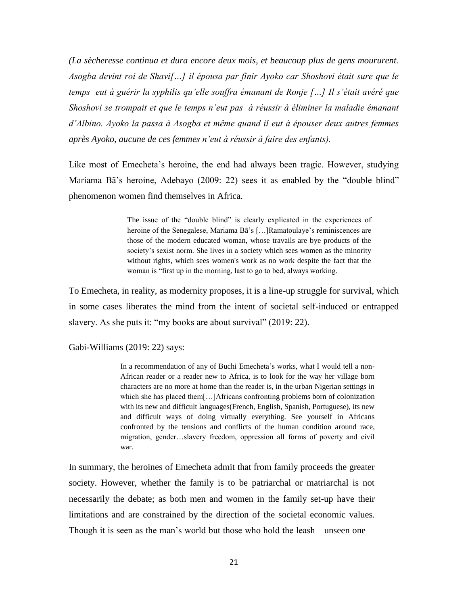*(La sècheresse continua et dura encore deux mois, et beaucoup plus de gens moururent. Asogba devint roi de Shavi[…] il épousa par finir Ayoko car Shoshovi était sure que le temps eut à guérir la syphilis qu'elle souffra émanant de Ronje […] Il s'était avéré que Shoshovi se trompait et que le temps n'eut pas à réussir à éliminer la maladie émanant d'Albino. Ayoko la passa à Asogba et même quand il eut à épouser deux autres femmes après Ayoko, aucune de ces femmes n'eut à réussir à faire des enfants).*

Like most of Emecheta's heroine, the end had always been tragic. However, studying Mariama Bã's heroine, Adebayo (2009: 22) sees it as enabled by the "double blind" phenomenon women find themselves in Africa.

> The issue of the "double blind" is clearly explicated in the experiences of heroine of the Senegalese, Mariama Bã's […]Ramatoulaye's reminiscences are those of the modern educated woman, whose travails are bye products of the society's sexist norm. She lives in a society which sees women as the minority without rights, which sees women's work as no work despite the fact that the woman is "first up in the morning, last to go to bed, always working.

To Emecheta, in reality, as modernity proposes, it is a line-up struggle for survival, which in some cases liberates the mind from the intent of societal self-induced or entrapped slavery. As she puts it: "my books are about survival" (2019: 22).

Gabi-Williams (2019: 22) says:

In a recommendation of any of Buchi Emecheta's works, what I would tell a non-African reader or a reader new to Africa, is to look for the way her village born characters are no more at home than the reader is, in the urban Nigerian settings in which she has placed them[…]Africans confronting problems born of colonization with its new and difficult languages(French, English, Spanish, Portuguese), its new and difficult ways of doing virtually everything. See yourself in Africans confronted by the tensions and conflicts of the human condition around race, migration, gender…slavery freedom, oppression all forms of poverty and civil war.

In summary, the heroines of Emecheta admit that from family proceeds the greater society. However, whether the family is to be patriarchal or matriarchal is not necessarily the debate; as both men and women in the family set-up have their limitations and are constrained by the direction of the societal economic values. Though it is seen as the man's world but those who hold the leash—unseen one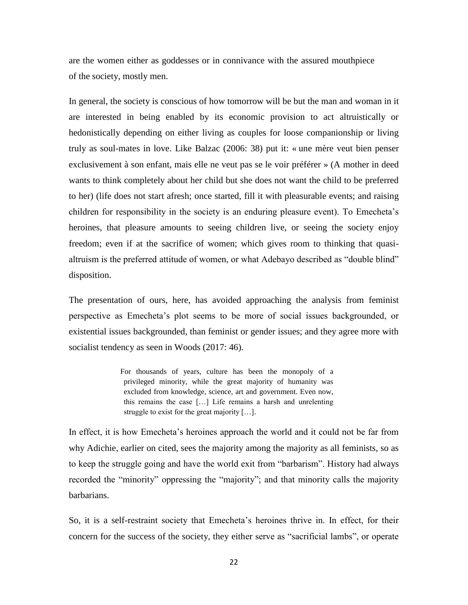are the women either as goddesses or in connivance with the assured mouthpiece of the society, mostly men.

In general, the society is conscious of how tomorrow will be but the man and woman in it are interested in being enabled by its economic provision to act altruistically or hedonistically depending on either living as couples for loose companionship or living truly as soul-mates in love. Like Balzac (2006: 38) put it: « une mère veut bien penser exclusivement à son enfant, mais elle ne veut pas se le voir préférer » (A mother in deed wants to think completely about her child but she does not want the child to be preferred to her) (life does not start afresh; once started, fill it with pleasurable events; and raising children for responsibility in the society is an enduring pleasure event). To Emecheta's heroines, that pleasure amounts to seeing children live, or seeing the society enjoy freedom; even if at the sacrifice of women; which gives room to thinking that quasialtruism is the preferred attitude of women, or what Adebayo described as "double blind" disposition.

The presentation of ours, here, has avoided approaching the analysis from feminist perspective as Emecheta's plot seems to be more of social issues backgrounded, or existential issues backgrounded, than feminist or gender issues; and they agree more with socialist tendency as seen in Woods (2017: 46).

> For thousands of years, culture has been the monopoly of a privileged minority, while the great majority of humanity was excluded from knowledge, science, art and government. Even now, this remains the case […] Life remains a harsh and unrelenting struggle to exist for the great majority […].

In effect, it is how Emecheta's heroines approach the world and it could not be far from why Adichie, earlier on cited, sees the majority among the majority as all feminists, so as to keep the struggle going and have the world exit from "barbarism". History had always recorded the "minority" oppressing the "majority"; and that minority calls the majority barbarians.

So, it is a self-restraint society that Emecheta's heroines thrive in. In effect, for their concern for the success of the society, they either serve as "sacrificial lambs", or operate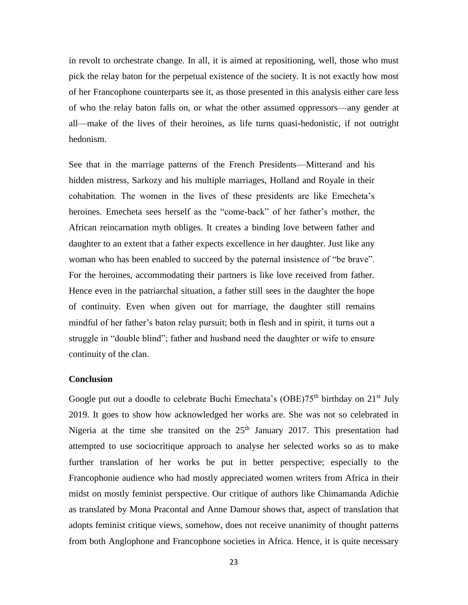in revolt to orchestrate change. In all, it is aimed at repositioning, well, those who must pick the relay baton for the perpetual existence of the society. It is not exactly how most of her Francophone counterparts see it, as those presented in this analysis either care less of who the relay baton falls on, or what the other assumed oppressors—any gender at all—make of the lives of their heroines, as life turns quasi-hedonistic, if not outright hedonism.

See that in the marriage patterns of the French Presidents—Mitterand and his hidden mistress, Sarkozy and his multiple marriages, Holland and Royale in their cohabitation. The women in the lives of these presidents are like Emecheta's heroines. Emecheta sees herself as the "come-back" of her father's mother, the African reincarnation myth obliges. It creates a binding love between father and daughter to an extent that a father expects excellence in her daughter. Just like any woman who has been enabled to succeed by the paternal insistence of "be brave". For the heroines, accommodating their partners is like love received from father. Hence even in the patriarchal situation, a father still sees in the daughter the hope of continuity. Even when given out for marriage, the daughter still remains mindful of her father's baton relay pursuit; both in flesh and in spirit, it turns out a struggle in "double blind"; father and husband need the daughter or wife to ensure continuity of the clan.

## **Conclusion**

Google put out a doodle to celebrate Buchi Emechata's (OBE) $75<sup>th</sup>$  birthday on  $21<sup>st</sup>$  July 2019. It goes to show how acknowledged her works are. She was not so celebrated in Nigeria at the time she transited on the  $25<sup>th</sup>$  January 2017. This presentation had attempted to use sociocritique approach to analyse her selected works so as to make further translation of her works be put in better perspective; especially to the Francophonie audience who had mostly appreciated women writers from Africa in their midst on mostly feminist perspective. Our critique of authors like Chimamanda Adichie as translated by Mona Pracontal and Anne Damour shows that, aspect of translation that adopts feminist critique views, somehow, does not receive unanimity of thought patterns from both Anglophone and Francophone societies in Africa. Hence, it is quite necessary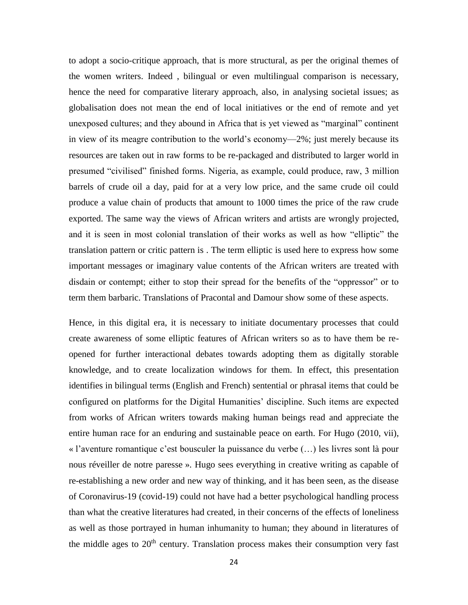to adopt a socio-critique approach, that is more structural, as per the original themes of the women writers. Indeed , bilingual or even multilingual comparison is necessary, hence the need for comparative literary approach, also, in analysing societal issues; as globalisation does not mean the end of local initiatives or the end of remote and yet unexposed cultures; and they abound in Africa that is yet viewed as "marginal" continent in view of its meagre contribution to the world's economy—2%; just merely because its resources are taken out in raw forms to be re-packaged and distributed to larger world in presumed "civilised" finished forms. Nigeria, as example, could produce, raw, 3 million barrels of crude oil a day, paid for at a very low price, and the same crude oil could produce a value chain of products that amount to 1000 times the price of the raw crude exported. The same way the views of African writers and artists are wrongly projected, and it is seen in most colonial translation of their works as well as how "elliptic" the translation pattern or critic pattern is . The term elliptic is used here to express how some important messages or imaginary value contents of the African writers are treated with disdain or contempt; either to stop their spread for the benefits of the "oppressor" or to term them barbaric. Translations of Pracontal and Damour show some of these aspects.

Hence, in this digital era, it is necessary to initiate documentary processes that could create awareness of some elliptic features of African writers so as to have them be reopened for further interactional debates towards adopting them as digitally storable knowledge, and to create localization windows for them. In effect, this presentation identifies in bilingual terms (English and French) sentential or phrasal items that could be configured on platforms for the Digital Humanities' discipline. Such items are expected from works of African writers towards making human beings read and appreciate the entire human race for an enduring and sustainable peace on earth. For Hugo (2010, vii), « l'aventure romantique c'est bousculer la puissance du verbe (…) les livres sont là pour nous réveiller de notre paresse ». Hugo sees everything in creative writing as capable of re-establishing a new order and new way of thinking, and it has been seen, as the disease of Coronavirus-19 (covid-19) could not have had a better psychological handling process than what the creative literatures had created, in their concerns of the effects of loneliness as well as those portrayed in human inhumanity to human; they abound in literatures of the middle ages to  $20<sup>th</sup>$  century. Translation process makes their consumption very fast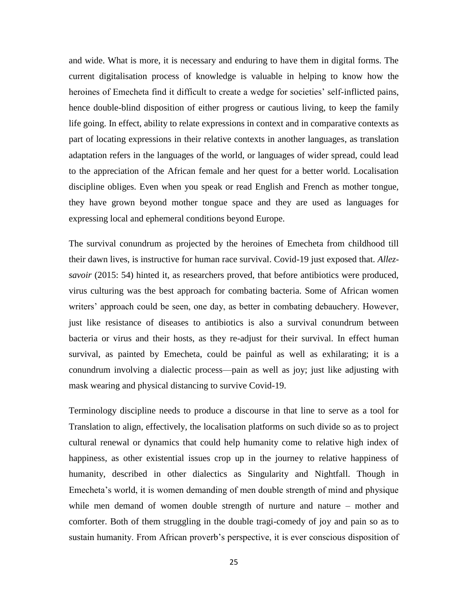and wide. What is more, it is necessary and enduring to have them in digital forms. The current digitalisation process of knowledge is valuable in helping to know how the heroines of Emecheta find it difficult to create a wedge for societies' self-inflicted pains, hence double-blind disposition of either progress or cautious living, to keep the family life going. In effect, ability to relate expressions in context and in comparative contexts as part of locating expressions in their relative contexts in another languages, as translation adaptation refers in the languages of the world, or languages of wider spread, could lead to the appreciation of the African female and her quest for a better world. Localisation discipline obliges. Even when you speak or read English and French as mother tongue, they have grown beyond mother tongue space and they are used as languages for expressing local and ephemeral conditions beyond Europe.

The survival conundrum as projected by the heroines of Emecheta from childhood till their dawn lives, is instructive for human race survival. Covid-19 just exposed that. *Allezsavoir* (2015: 54) hinted it, as researchers proved, that before antibiotics were produced, virus culturing was the best approach for combating bacteria. Some of African women writers' approach could be seen, one day, as better in combating debauchery. However, just like resistance of diseases to antibiotics is also a survival conundrum between bacteria or virus and their hosts, as they re-adjust for their survival. In effect human survival, as painted by Emecheta, could be painful as well as exhilarating; it is a conundrum involving a dialectic process—pain as well as joy; just like adjusting with mask wearing and physical distancing to survive Covid-19.

Terminology discipline needs to produce a discourse in that line to serve as a tool for Translation to align, effectively, the localisation platforms on such divide so as to project cultural renewal or dynamics that could help humanity come to relative high index of happiness, as other existential issues crop up in the journey to relative happiness of humanity, described in other dialectics as Singularity and Nightfall. Though in Emecheta's world, it is women demanding of men double strength of mind and physique while men demand of women double strength of nurture and nature – mother and comforter. Both of them struggling in the double tragi-comedy of joy and pain so as to sustain humanity. From African proverb's perspective, it is ever conscious disposition of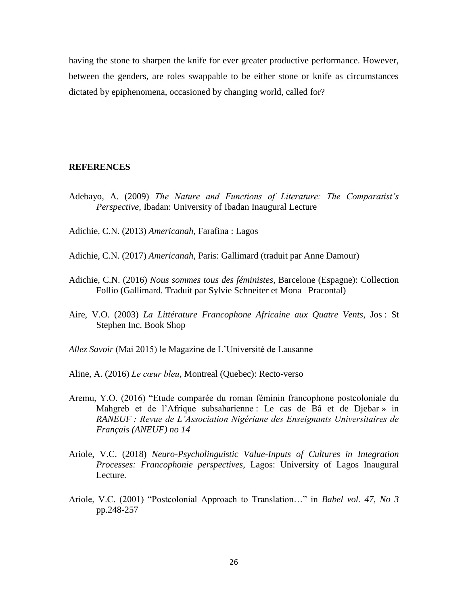having the stone to sharpen the knife for ever greater productive performance. However, between the genders, are roles swappable to be either stone or knife as circumstances dictated by epiphenomena, occasioned by changing world, called for?

### **REFERENCES**

Adebayo, A. (2009) *The Nature and Functions of Literature: The Comparatist's Perspective,* Ibadan: University of Ibadan Inaugural Lecture

Adichie, C.N. (2013) *Americanah*, Farafina : Lagos

- Adichie, C.N. (2017) *Americanah*, Paris: Gallimard (traduit par Anne Damour)
- Adichie, C.N. (2016) *Nous sommes tous des féministes*, Barcelone (Espagne): Collection Follio (Gallimard. Traduit par Sylvie Schneiter et Mona Pracontal)
- Aire, V.O. (2003) *La Littérature Francophone Africaine aux Quatre Vents*, Jos : St Stephen Inc. Book Shop

*Allez Savoir* (Mai 2015) le Magazine de L'Université de Lausanne

Aline, A. (2016) *Le cœur bleu*, Montreal (Quebec): Recto-verso

- Aremu, Y.O. (2016) "Etude comparée du roman féminin francophone postcoloniale du Mahgreb et de l'Afrique subsaharienne : Le cas de Bâ et de Djebar » in *RANEUF : Revue de L'Association Nigériane des Enseignants Universitaires de Français (ANEUF) no 14*
- Ariole, V.C. (2018) *Neuro-Psycholinguistic Value-Inputs of Cultures in Integration Processes: Francophonie perspectives*, Lagos: University of Lagos Inaugural Lecture.
- Ariole, V.C. (2001) "Postcolonial Approach to Translation…" in *Babel vol. 47, No 3* pp.248-257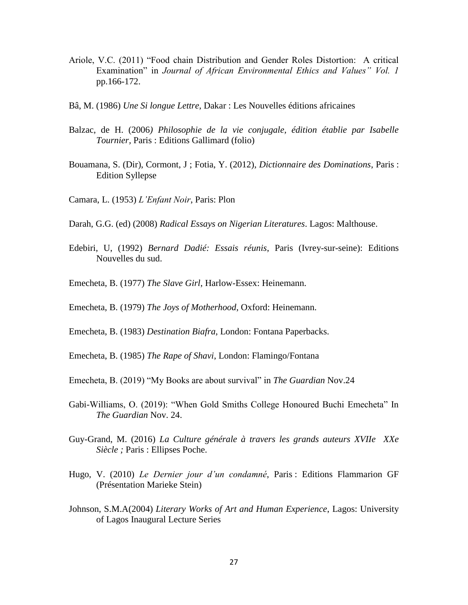- Ariole, V.C. (2011) "Food chain Distribution and Gender Roles Distortion: A critical Examination" in *Journal of African Environmental Ethics and Values" Vol. 1*  pp.166-172.
- Bâ, M. (1986) *Une Si longue Lettre*, Dakar : Les Nouvelles éditions africaines
- Balzac, de H. (2006*) Philosophie de la vie conjugale, édition établie par Isabelle Tournier,* Paris : Editions Gallimard (folio)
- Bouamana, S. (Dir), Cormont, J ; Fotia, Y. (2012), *Dictionnaire des Dominations*, Paris : Edition Syllepse
- Camara, L. (1953) *L'Enfant Noir*, Paris: Plon
- Darah, G.G. (ed) (2008) *Radical Essays on Nigerian Literatures*. Lagos: Malthouse.
- Edebiri, U, (1992) *Bernard Dadié: Essais réunis*, Paris (Ivrey-sur-seine): Editions Nouvelles du sud.
- Emecheta, B. (1977) *The Slave Girl*, Harlow-Essex: Heinemann.
- Emecheta, B. (1979) *The Joys of Motherhood*, Oxford: Heinemann.
- Emecheta, B. (1983) *Destination Biafra*, London: Fontana Paperbacks.
- Emecheta, B. (1985) *The Rape of Shavi*, London: Flamingo/Fontana
- Emecheta, B. (2019) "My Books are about survival" in *The Guardian* Nov.24
- Gabi-Williams, O. (2019): "When Gold Smiths College Honoured Buchi Emecheta" In *The Guardian* Nov. 24.
- Guy-Grand, M. (2016) *La Culture générale à travers les grands auteurs XVIIe XXe Siècle ;* Paris : Ellipses Poche.
- Hugo, V. (2010) *Le Dernier jour d'un condamné*, Paris : Editions Flammarion GF (Présentation Marieke Stein)
- Johnson, S.M.A(2004) *Literary Works of Art and Human Experience*, Lagos: University of Lagos Inaugural Lecture Series